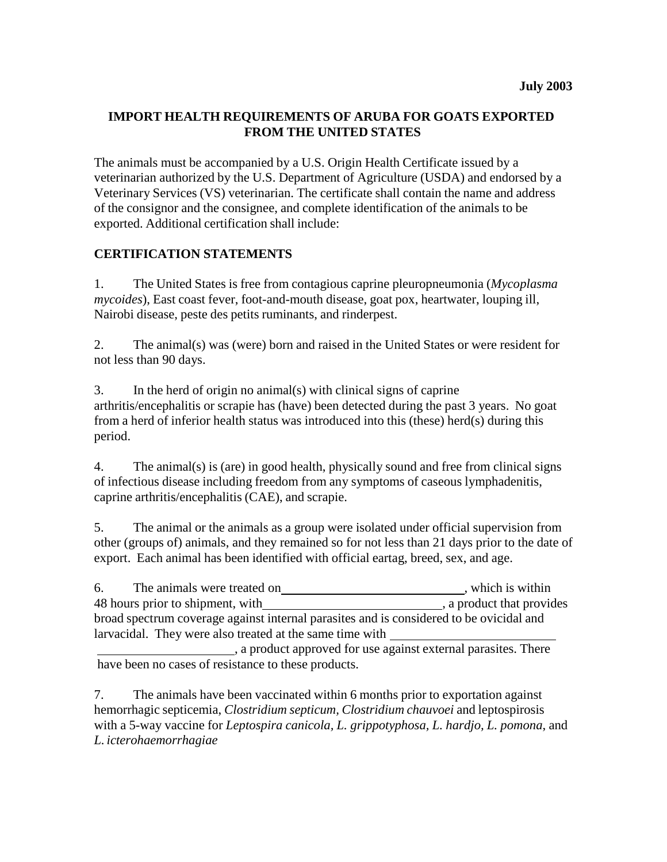# **IMPORT HEALTH REQUIREMENTS OF ARUBA FOR GOATS EXPORTED FROM THE UNITED STATES**

The animals must be accompanied by a U.S. Origin Health Certificate issued by a veterinarian authorized by the U.S. Department of Agriculture (USDA) and endorsed by a Veterinary Services (VS) veterinarian. The certificate shall contain the name and address of the consignor and the consignee, and complete identification of the animals to be exported. Additional certification shall include:

# **CERTIFICATION STATEMENTS**

1. The United States is free from contagious caprine pleuropneumonia (*Mycoplasma mycoides*), East coast fever, foot-and-mouth disease, goat pox, heartwater, louping ill, Nairobi disease, peste des petits ruminants, and rinderpest.

2. The animal(s) was (were) born and raised in the United States or were resident for not less than 90 days.

3. In the herd of origin no animal(s) with clinical signs of caprine arthritis/encephalitis or scrapie has (have) been detected during the past 3 years. No goat from a herd of inferior health status was introduced into this (these) herd(s) during this period.

4. The animal(s) is (are) in good health, physically sound and free from clinical signs of infectious disease including freedom from any symptoms of caseous lymphadenitis, caprine arthritis/encephalitis (CAE), and scrapie.

5. The animal or the animals as a group were isolated under official supervision from other (groups of) animals, and they remained so for not less than 21 days prior to the date of export. Each animal has been identified with official eartag, breed, sex, and age.

| 6.                                                                                      | The animals were treated on                              | , which is within         |
|-----------------------------------------------------------------------------------------|----------------------------------------------------------|---------------------------|
|                                                                                         | 48 hours prior to shipment, with                         | , a product that provides |
| broad spectrum coverage against internal parasites and is considered to be ovicidal and |                                                          |                           |
|                                                                                         | larvacidal. They were also treated at the same time with |                           |

, a product approved for use against external parasites. There have been no cases of resistance to these products.

7. The animals have been vaccinated within 6 months prior to exportation against hemorrhagic septicemia, *Clostridium septicum, Clostridium chauvoei* and leptospirosis with a 5-way vaccine for *Leptospira canicola, L. grippotyphosa, L. hardjo, L. pomona*, and *L. icterohaemorrhagiae*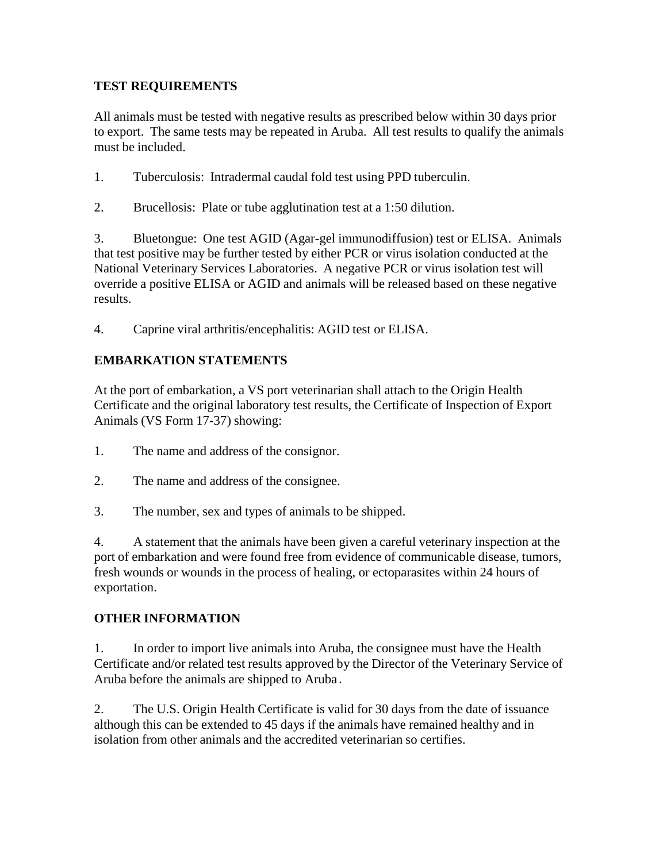# **TEST REQUIREMENTS**

All animals must be tested with negative results as prescribed below within 30 days prior to export. The same tests may be repeated in Aruba. All test results to qualify the animals must be included.

- 1. Tuberculosis: Intradermal caudal fold test using PPD tuberculin.
- 2. Brucellosis: Plate or tube agglutination test at a 1:50 dilution.

3. Bluetongue: One test AGID (Agar-gel immunodiffusion) test or ELISA. Animals that test positive may be further tested by either PCR or virus isolation conducted at the National Veterinary Services Laboratories. A negative PCR or virus isolation test will override a positive ELISA or AGID and animals will be released based on these negative results.

4. Caprine viral arthritis/encephalitis: AGID test or ELISA.

# **EMBARKATION STATEMENTS**

At the port of embarkation, a VS port veterinarian shall attach to the Origin Health Certificate and the original laboratory test results, the Certificate of Inspection of Export Animals (VS Form 17-37) showing:

- 1. The name and address of the consignor.
- 2. The name and address of the consignee.
- 3. The number, sex and types of animals to be shipped.

4. A statement that the animals have been given a careful veterinary inspection at the port of embarkation and were found free from evidence of communicable disease, tumors, fresh wounds or wounds in the process of healing, or ectoparasites within 24 hours of exportation.

#### **OTHER INFORMATION**

1. In order to import live animals into Aruba, the consignee must have the Health Certificate and/or related test results approved by the Director of the Veterinary Service of Aruba before the animals are shipped to Aruba.

2. The U.S. Origin Health Certificate is valid for 30 days from the date of issuance although this can be extended to 45 days if the animals have remained healthy and in isolation from other animals and the accredited veterinarian so certifies.